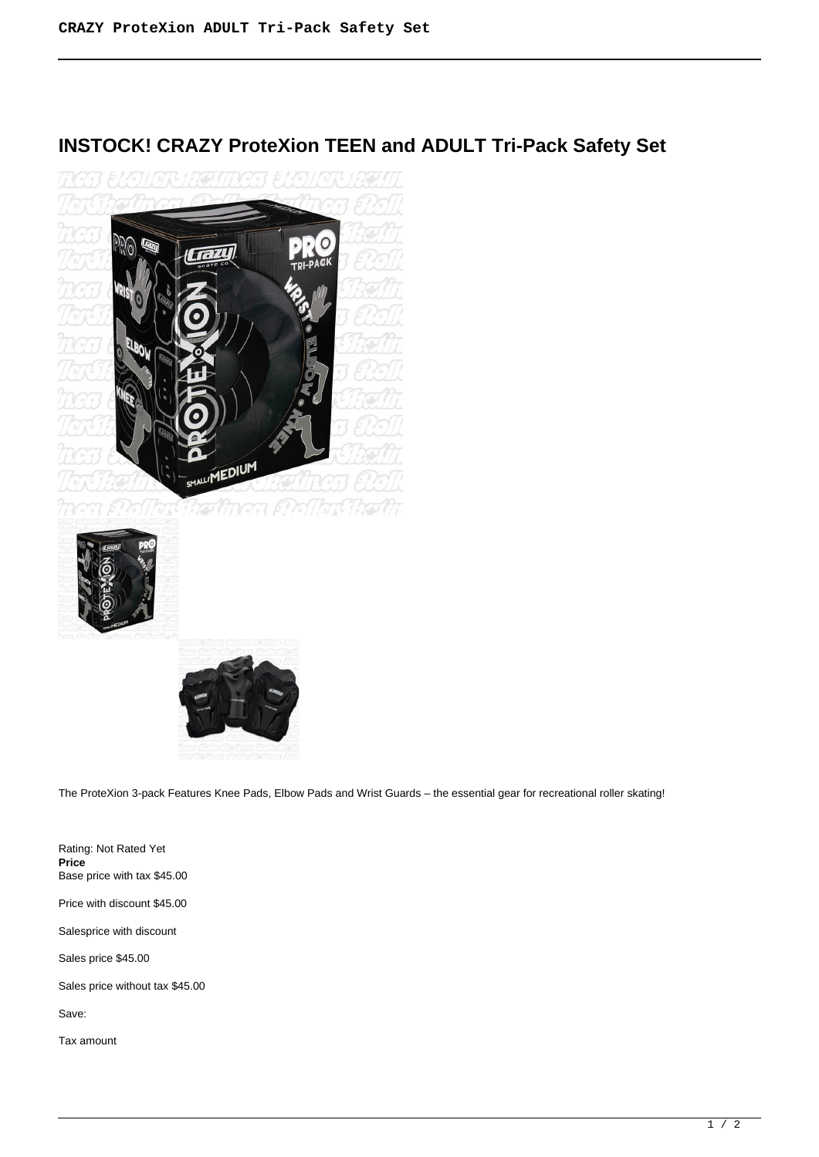## **INSTOCK! CRAZY ProteXion TEEN and ADULT Tri-Pack Safety Set**







The ProteXion 3-pack Features Knee Pads, Elbow Pads and Wrist Guards – the essential gear for recreational roller skating!

Rating: Not Rated Yet **Price**  Base price with tax \$45.00 Price with discount \$45.00 Salesprice with discount Sales price \$45.00 Sales price without tax \$45.00 Save:

Tax amount